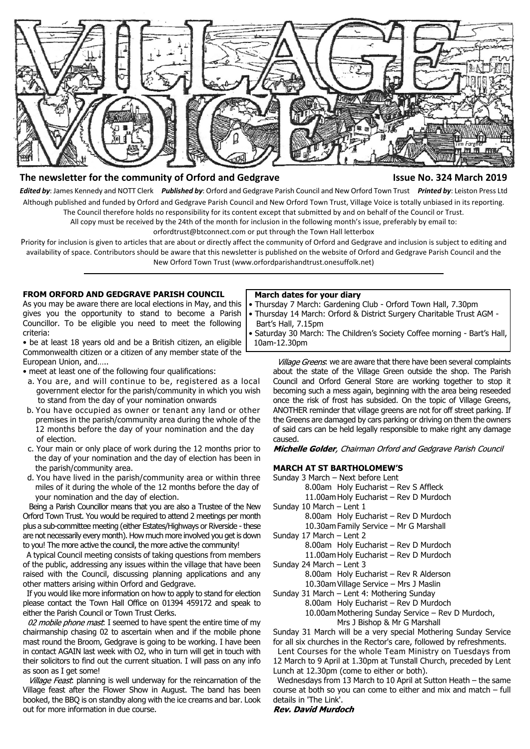

# **The newsletter for the community of Orford and Gedgrave Issue No. 324 March 2019**

*Edited by*: James Kennedy and NOTT Clerk *Published by*: Orford and Gedgrave Parish Council and New Orford Town Trust *Printed by*: Leiston Press Ltd Although published and funded by Orford and Gedgrave Parish Council and New Orford Town Trust, Village Voice is totally unbiased in its reporting. The Council therefore holds no responsibility for its content except that submitted by and on behalf of the Council or Trust.

All copy must be received by the 24th of the month for inclusion in the following month's issue, preferably by email to:

orfordtrust@btconnect.com or put through the Town Hall letterbox

Priority for inclusion is given to articles that are about or directly affect the community of Orford and Gedgrave and inclusion is subject to editing and availability of space. Contributors should be aware that this newsletter is published on the website of Orford and Gedgrave Parish Council and the New Orford Town Trust (www.orfordparishandtrust.onesuffolk.net)

#### **FROM ORFORD AND GEDGRAVE PARISH COUNCIL**

As you may be aware there are local elections in May, and this gives you the opportunity to stand to become a Parish Councillor. To be eligible you need to meet the following criteria:

• be at least 18 years old and be a British citizen, an eligible Commonwealth citizen or a citizen of any member state of the European Union, and…..

• meet at least one of the following four qualifications:

- a. You are, and will continue to be, registered as a local government elector for the parish/community in which you wish to stand from the day of your nomination onwards
- b. You have occupied as owner or tenant any land or other premises in the parish/community area during the whole of the 12 months before the day of your nomination and the day of election.
- c. Your main or only place of work during the 12 months prior to the day of your nomination and the day of election has been in the parish/community area.
- d. You have lived in the parish/community area or within three miles of it during the whole of the 12 months before the day of your nomination and the day of election.

 Being a Parish Councillor means that you are also a Trustee of the New Orford Town Trust. You would be required to attend 2 meetings per month plus a sub-committee meeting (either Estates/Highways or Riverside - these are not necessarily every month). How much more involved you get is down to you! The more active the council, the more active the community!

 A typical Council meeting consists of taking questions from members of the public, addressing any issues within the village that have been raised with the Council, discussing planning applications and any other matters arising within Orford and Gedgrave.

 If you would like more information on how to apply to stand for election please contact the Town Hall Office on 01394 459172 and speak to either the Parish Council or Town Trust Clerks.

02 mobile phone mast. I seemed to have spent the entire time of my chairmanship chasing 02 to ascertain when and if the mobile phone mast round the Broom, Gedgrave is going to be working. I have been in contact AGAIN last week with O2, who in turn will get in touch with their solicitors to find out the current situation. I will pass on any info as soon as I get some!

Village Feast: planning is well underway for the reincarnation of the Village feast after the Flower Show in August. The band has been booked, the BBQ is on standby along with the ice creams and bar. Look out for more information in due course.

#### **March dates for your diary**

- Thursday 7 March: Gardening Club Orford Town Hall, 7.30pm
- Thursday 14 March: Orford & District Surgery Charitable Trust AGM Bart's Hall, 7.15pm
- Saturday 30 March: The Children's Society Coffee morning Bart's Hall, 10am-12.30pm

Village Greens. we are aware that there have been several complaints about the state of the Village Green outside the shop. The Parish Council and Orford General Store are working together to stop it becoming such a mess again, beginning with the area being reseeded once the risk of frost has subsided. On the topic of Village Greens, ANOTHER reminder that village greens are not for off street parking. If the Greens are damaged by cars parking or driving on them the owners of said cars can be held legally responsible to make right any damage caused.

Michelle Golder, Chairman Orford and Gedgrave Parish Council

# **MARCH AT ST BARTHOLOMEW'S**

Sunday 3 March – Next before Lent 8.00am Holy Eucharist – Rev S Affleck 11.00am Holy Eucharist – Rev D Murdoch Sunday 10 March – Lent 1 8.00am Holy Eucharist – Rev D Murdoch 10.30am Family Service – Mr G Marshall Sunday 17 March – Lent 2 8.00am Holy Eucharist – Rev D Murdoch 11.00am Holy Eucharist – Rev D Murdoch Sunday 24 March – Lent 3 8.00am Holy Eucharist – Rev R Alderson 10.30am Village Service – Mrs J Maslin Sunday 31 March – Lent 4: Mothering Sunday 8.00am Holy Eucharist – Rev D Murdoch 10.00am Mothering Sunday Service – Rev D Murdoch, Mrs J Bishop & Mr G Marshall Sunday 31 March will be a very special Mothering Sunday Service

for all six churches in the Rector's care, followed by refreshments. Lent Courses for the whole Team Ministry on Tuesdays from

12 March to 9 April at 1.30pm at Tunstall Church, preceded by Lent Lunch at 12.30pm (come to either or both).

 Wednesdays from 13 March to 10 April at Sutton Heath – the same course at both so you can come to either and mix and match – full details in 'The Link'.

**Rev. David Murdoch**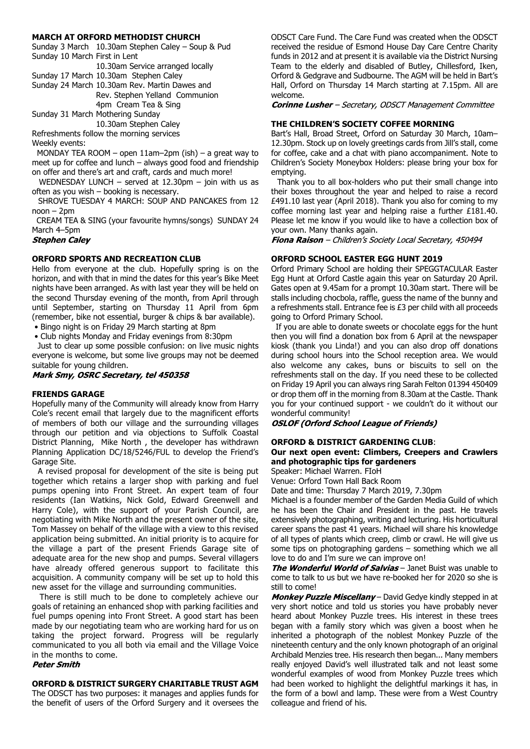#### **MARCH AT ORFORD METHODIST CHURCH**

Sunday 3 March 10.30am Stephen Caley – Soup & Pud Sunday 10 March First in Lent

10.30am Service arranged locally

Sunday 17 March 10.30am Stephen Caley

Sunday 24 March 10.30am Rev. Martin Dawes and Rev. Stephen Yelland Communion 4pm Cream Tea & Sing

Sunday 31 March Mothering Sunday

10.30am Stephen Caley Refreshments follow the morning services Weekly events:

 MONDAY TEA ROOM – open 11am–2pm (ish) – a great way to meet up for coffee and lunch – always good food and friendship on offer and there's art and craft, cards and much more!

WEDNESDAY LUNCH – served at 12.30pm – join with us as often as you wish – booking is necessary.

 SHROVE TUESDAY 4 MARCH: SOUP AND PANCAKES from 12  $ncon - 2nm$ 

 CREAM TEA & SING (your favourite hymns/songs) SUNDAY 24 March 4–5pm

**Stephen Calev** 

## **ORFORD SPORTS AND RECREATION CLUB**

Hello from everyone at the club. Hopefully spring is on the horizon, and with that in mind the dates for this year's Bike Meet nights have been arranged. As with last year they will be held on the second Thursday evening of the month, from April through until September, starting on Thursday 11 April from 6pm (remember, bike not essential, burger & chips & bar available).

• Bingo night is on Friday 29 March starting at 8pm

• Club nights Monday and Friday evenings from 8:30pm

 Just to clear up some possible confusion: on live music nights everyone is welcome, but some live groups may not be deemed suitable for young children.

Mark Smy, OSRC Secretary, tel 450358

#### **FRIENDS GARAGE**

Hopefully many of the Community will already know from Harry Cole's recent email that largely due to the magnificent efforts of members of both our village and the surrounding villages through our petition and via objections to Suffolk Coastal District Planning, Mike North , the developer has withdrawn Planning Application DC/18/5246/FUL to develop the Friend's Garage Site.

 A revised proposal for development of the site is being put together which retains a larger shop with parking and fuel pumps opening into Front Street. An expert team of four residents (Ian Watkins, Nick Gold, Edward Greenwell and Harry Cole), with the support of your Parish Council, are negotiating with Mike North and the present owner of the site, Tom Massey on behalf of the village with a view to this revised application being submitted. An initial priority is to acquire for the village a part of the present Friends Garage site of adequate area for the new shop and pumps. Several villagers have already offered generous support to facilitate this acquisition. A community company will be set up to hold this new asset for the village and surrounding communities.

 There is still much to be done to completely achieve our goals of retaining an enhanced shop with parking facilities and fuel pumps opening into Front Street. A good start has been made by our negotiating team who are working hard for us on taking the project forward. Progress will be regularly communicated to you all both via email and the Village Voice in the months to come.

## **Peter Smith**

#### **ORFORD & DISTRICT SURGERY CHARITABLE TRUST AGM**

The ODSCT has two purposes: it manages and applies funds for the benefit of users of the Orford Surgery and it oversees the ODSCT Care Fund. The Care Fund was created when the ODSCT received the residue of Esmond House Day Care Centre Charity funds in 2012 and at present it is available via the District Nursing Team to the elderly and disabled of Butley, Chillesford, Iken, Orford & Gedgrave and Sudbourne. The AGM will be held in Bart's Hall, Orford on Thursday 14 March starting at 7.15pm. All are welcome.

**Corinne Lusher** - Secretary, ODSCT Management Committee

#### **THE CHILDREN'S SOCIETY COFFEE MORNING**

Bart's Hall, Broad Street, Orford on Saturday 30 March, 10am– 12.30pm. Stock up on lovely greetings cards from Jill's stall, come for coffee, cake and a chat with piano accompaniment. Note to Children's Society Moneybox Holders: please bring your box for emptying.

 Thank you to all box-holders who put their small change into their boxes throughout the year and helped to raise a record £491.10 last year (April 2018). Thank you also for coming to my coffee morning last year and helping raise a further £181.40. Please let me know if you would like to have a collection box of your own. Many thanks again.<br>**Fiona Raison** – Children's Society Local Secretary, 450494

#### **ORFORD SCHOOL EASTER EGG HUNT 2019**

Orford Primary School are holding their SPEGGTACULAR Easter Egg Hunt at Orford Castle again this year on Saturday 20 April. Gates open at 9.45am for a prompt 10.30am start. There will be stalls including chocbola, raffle, guess the name of the bunny and a refreshments stall. Entrance fee is £3 per child with all proceeds going to Orford Primary School.

 If you are able to donate sweets or chocolate eggs for the hunt then you will find a donation box from 6 April at the newspaper kiosk (thank you Linda!) and you can also drop off donations during school hours into the School reception area. We would also welcome any cakes, buns or biscuits to sell on the refreshments stall on the day. If you need these to be collected on Friday 19 April you can always ring Sarah Felton 01394 450409 or drop them off in the morning from 8.30am at the Castle. Thank you for your continued support - we couldn't do it without our wonderful community!

**OSLOF (Orford School League of Friends)** 

## **ORFORD & DISTRICT GARDENING CLUB**:

## **Our next open event: Climbers, Creepers and Crawlers and photographic tips for gardeners**

Speaker: Michael Warren. FIoH

Venue: Orford Town Hall Back Room

Date and time: Thursday 7 March 2019, 7.30pm

Michael is a founder member of the Garden Media Guild of which he has been the Chair and President in the past. He travels extensively photographing, writing and lecturing. His horticultural career spans the past 41 years. Michael will share his knowledge of all types of plants which creep, climb or crawl. He will give us some tips on photographing gardens – something which we all love to do and I'm sure we can improve on!

The Wonderful World of Salvias - Janet Buist was unable to come to talk to us but we have re-booked her for 2020 so she is still to come!

Monkey Puzzle Miscellany - David Gedye kindly stepped in at very short notice and told us stories you have probably never heard about Monkey Puzzle trees. His interest in these trees began with a family story which was given a boost when he inherited a photograph of the noblest Monkey Puzzle of the nineteenth century and the only known photograph of an original Archibald Menzies tree. His research then began... Many members really enjoyed David's well illustrated talk and not least some wonderful examples of wood from Monkey Puzzle trees which had been worked to highlight the delightful markings it has, in the form of a bowl and lamp. These were from a West Country colleague and friend of his.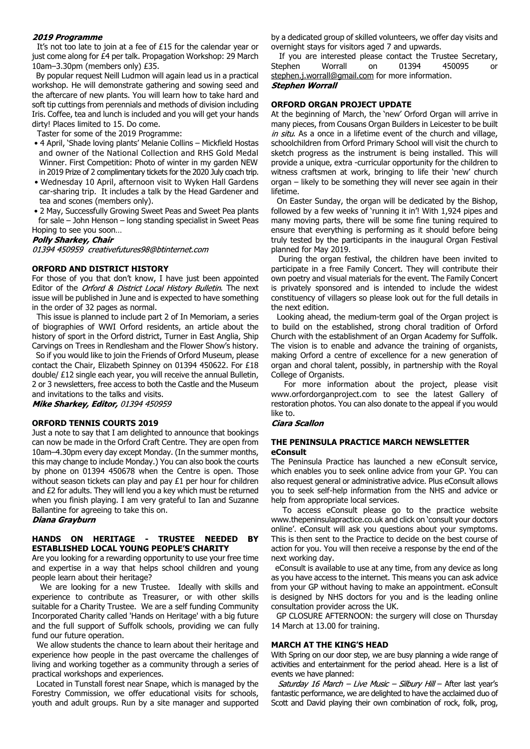#### 2019 Programme

It's not too late to join at a fee of £15 for the calendar year or just come along for £4 per talk. Propagation Workshop: 29 March 10am–3.30pm (members only) £35.

By popular request Neill Ludmon will again lead us in a practical workshop. He will demonstrate gathering and sowing seed and the aftercare of new plants. You will learn how to take hard and soft tip cuttings from perennials and methods of division including Iris. Coffee, tea and lunch is included and you will get your hands dirty! Places limited to 15. Do come.

Taster for some of the 2019 Programme:

- 4 April, 'Shade loving plants' Melanie Collins Mickfield Hostas and owner of the National Collection and RHS Gold Medal Winner. First Competition: Photo of winter in my garden NEW in 2019 Prize of 2 complimentary tickets for the 2020 July coach trip.
- Wednesday 10 April, afternoon visit to Wyken Hall Gardens car-sharing trip. It includes a talk by the Head Gardener and tea and scones (members only).
- 2 May, Successfully Growing Sweet Peas and Sweet Pea plants for sale – John Henson – long standing specialist in Sweet Peas Hoping to see you soon…

## **Polly Sharkey, Chair**

01394 450959 creativefutures98@btinternet.com

# **ORFORD AND DISTRICT HISTORY**

For those of you that don't know, I have just been appointed Editor of the Orford & District Local History Bulletin. The next issue will be published in June and is expected to have something in the order of 32 pages as normal.

 This issue is planned to include part 2 of In Memoriam, a series of biographies of WWI Orford residents, an article about the history of sport in the Orford district, Turner in East Anglia, Ship Carvings on Trees in Rendlesham and the Flower Show's history.

 So if you would like to join the Friends of Orford Museum, please contact the Chair, Elizabeth Spinney on 01394 450622. For £18 double/ £12 single each year, you will receive the annual Bulletin, 2 or 3 newsletters, free access to both the Castle and the Museum and invitations to the talks and visits.

Mike Sharkey, Editor, 01394 450959

#### **ORFORD TENNIS COURTS 2019**

Just a note to say that I am delighted to announce that bookings can now be made in the Orford Craft Centre. They are open from 10am–4.30pm every day except Monday. (In the summer months, this may change to include Monday.) You can also book the courts by phone on 01394 450678 when the Centre is open. Those without season tickets can play and pay £1 per hour for children and £2 for adults. They will lend you a key which must be returned when you finish playing. I am very grateful to Ian and Suzanne Ballantine for agreeing to take this on.

Diana Grayburn

# **HANDS ON HERITAGE - TRUSTEE NEEDED BY ESTABLISHED LOCAL YOUNG PEOPLE'S CHARITY**

Are you looking for a rewarding opportunity to use your free time and expertise in a way that helps school children and young people learn about their heritage?

 We are looking for a new Trustee. Ideally with skills and experience to contribute as Treasurer, or with other skills suitable for a Charity Trustee. We are a self funding Community Incorporated Charity called 'Hands on Heritage' with a big future and the full support of Suffolk schools, providing we can fully fund our future operation.

 We allow students the chance to learn about their heritage and experience how people in the past overcame the challenges of living and working together as a community through a series of practical workshops and experiences.

 Located in Tunstall forest near Snape, which is managed by the Forestry Commission, we offer educational visits for schools, youth and adult groups. Run by a site manager and supported by a dedicated group of skilled volunteers, we offer day visits and overnight stays for visitors aged 7 and upwards.

 If you are interested please contact the Trustee Secretary, Stephen Worrall on 01394 450095 or stephen.j.worrall@gmail.com for more information. **Stephen Worrall** 

## **ORFORD ORGAN PROJECT UPDATE**

At the beginning of March, the 'new' Orford Organ will arrive in many pieces, from Cousans Organ Builders in Leicester to be built in situ. As a once in a lifetime event of the church and village, schoolchildren from Orford Primary School will visit the church to sketch progress as the instrument is being installed. This will provide a unique, extra -curricular opportunity for the children to witness craftsmen at work, bringing to life their 'new' church organ – likely to be something they will never see again in their lifetime.

 On Easter Sunday, the organ will be dedicated by the Bishop, followed by a few weeks of 'running it in'! With 1,924 pipes and many moving parts, there will be some fine tuning required to ensure that everything is performing as it should before being truly tested by the participants in the inaugural Organ Festival planned for May 2019.

 During the organ festival, the children have been invited to participate in a free Family Concert. They will contribute their own poetry and visual materials for the event. The Family Concert is privately sponsored and is intended to include the widest constituency of villagers so please look out for the full details in the next edition.

 Looking ahead, the medium-term goal of the Organ project is to build on the established, strong choral tradition of Orford Church with the establishment of an Organ Academy for Suffolk. The vision is to enable and advance the training of organists, making Orford a centre of excellence for a new generation of organ and choral talent, possibly, in partnership with the Royal College of Organists.

 For more information about the project, please visit www.orfordorganproject.com to see the latest Gallery of restoration photos. You can also donate to the appeal if you would like to.

## **Ciara Scallon**

## **THE PENINSULA PRACTICE MARCH NEWSLETTER eConsult**

The Peninsula Practice has launched a new eConsult service, which enables you to seek online advice from your GP. You can also request general or administrative advice. Plus eConsult allows you to seek self-help information from the NHS and advice or help from appropriate local services.

 To access eConsult please go to the practice website www.thepeninsulapractice.co.uk and click on 'consult your doctors online'. eConsult will ask you questions about your symptoms. This is then sent to the Practice to decide on the best course of action for you. You will then receive a response by the end of the next working day.

 eConsult is available to use at any time, from any device as long as you have access to the internet. This means you can ask advice from your GP without having to make an appointment. eConsult is designed by NHS doctors for you and is the leading online consultation provider across the UK.

 GP CLOSURE AFTERNOON: the surgery will close on Thursday 14 March at 13.00 for training.

#### **MARCH AT THE KING'S HEAD**

With Spring on our door step, we are busy planning a wide range of activities and entertainment for the period ahead. Here is a list of events we have planned:

Saturday 16 March - Live Music - Silbury Hill - After last year's fantastic performance, we are delighted to have the acclaimed duo of Scott and David playing their own combination of rock, folk, prog,